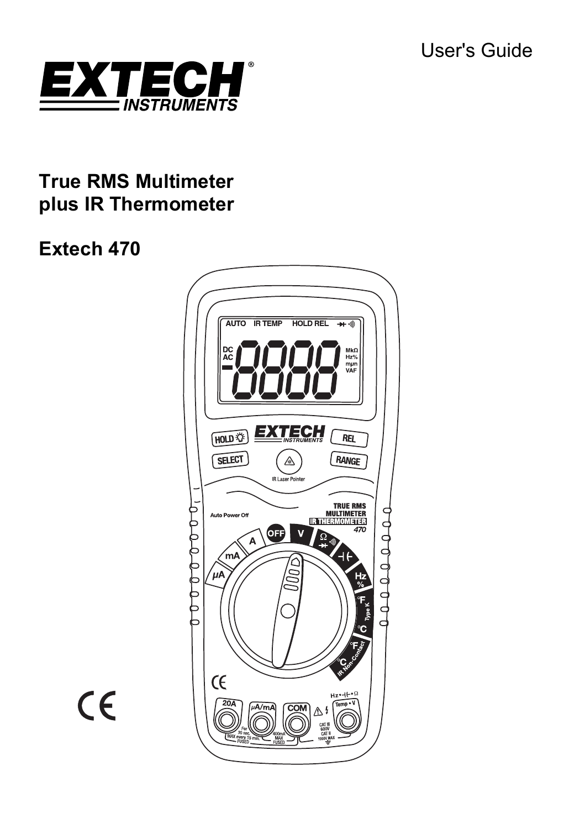

# **True RMS Multimeter plus IR Thermometer**

# **Extech 470**



 $C \in$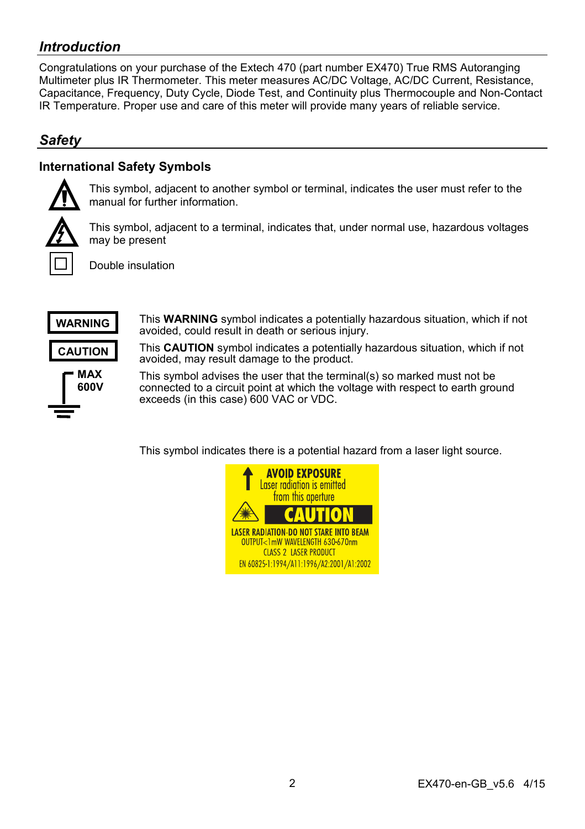# *Introduction*

Congratulations on your purchase of the Extech 470 (part number EX470) True RMS Autoranging Multimeter plus IR Thermometer. This meter measures AC/DC Voltage, AC/DC Current, Resistance, Capacitance, Frequency, Duty Cycle, Diode Test, and Continuity plus Thermocouple and Non-Contact IR Temperature. Proper use and care of this meter will provide many years of reliable service.

# *Safety*

# **International Safety Symbols**



This symbol, adjacent to another symbol or terminal, indicates the user must refer to the manual for further information.



This symbol, adjacent to a terminal, indicates that, under normal use, hazardous voltages may be present

Double insulation



This **WARNING** symbol indicates a potentially hazardous situation, which if not avoided, could result in death or serious injury.

This **CAUTION** symbol indicates a potentially hazardous situation, which if not avoided, may result damage to the product.

This symbol advises the user that the terminal(s) so marked must not be connected to a circuit point at which the voltage with respect to earth ground exceeds (in this case) 600 VAC or VDC.

This symbol indicates there is a potential hazard from a laser light source.

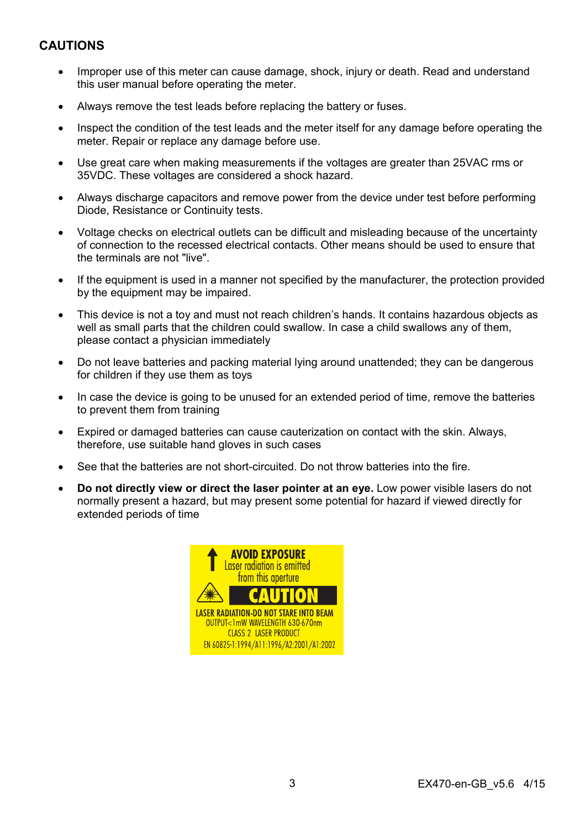# **CAUTIONS**

- Improper use of this meter can cause damage, shock, injury or death. Read and understand this user manual before operating the meter.
- Always remove the test leads before replacing the battery or fuses.
- Inspect the condition of the test leads and the meter itself for any damage before operating the meter. Repair or replace any damage before use.
- Use great care when making measurements if the voltages are greater than 25VAC rms or 35VDC. These voltages are considered a shock hazard.
- Always discharge capacitors and remove power from the device under test before performing Diode, Resistance or Continuity tests.
- Voltage checks on electrical outlets can be difficult and misleading because of the uncertainty of connection to the recessed electrical contacts. Other means should be used to ensure that the terminals are not "live".
- If the equipment is used in a manner not specified by the manufacturer, the protection provided by the equipment may be impaired.
- This device is not a toy and must not reach children's hands. It contains hazardous objects as well as small parts that the children could swallow. In case a child swallows any of them, please contact a physician immediately
- Do not leave batteries and packing material lying around unattended; they can be dangerous for children if they use them as toys
- In case the device is going to be unused for an extended period of time, remove the batteries to prevent them from training
- Expired or damaged batteries can cause cauterization on contact with the skin. Always, therefore, use suitable hand gloves in such cases
- See that the batteries are not short-circuited. Do not throw batteries into the fire.
- **Do not directly view or direct the laser pointer at an eye.** Low power visible lasers do not normally present a hazard, but may present some potential for hazard if viewed directly for extended periods of time

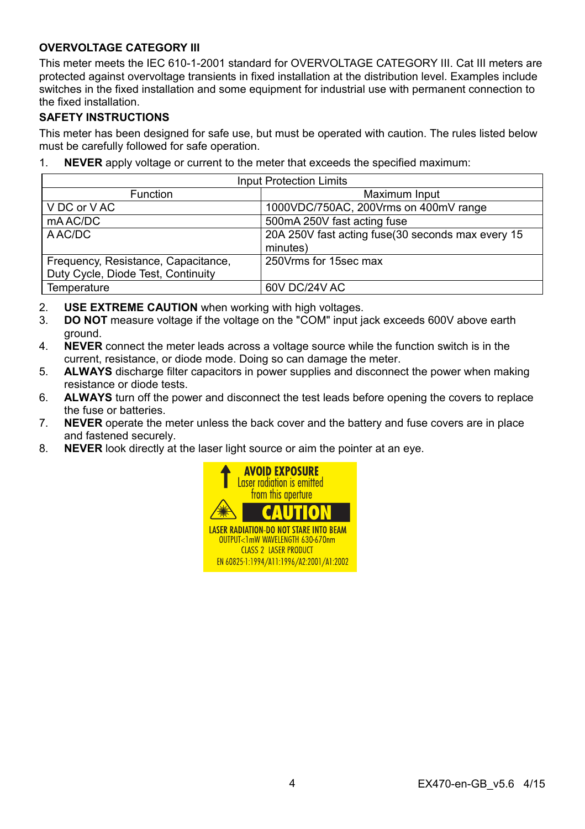## **OVERVOLTAGE CATEGORY III**

This meter meets the IEC 610-1-2001 standard for OVERVOLTAGE CATEGORY III. Cat III meters are protected against overvoltage transients in fixed installation at the distribution level. Examples include switches in the fixed installation and some equipment for industrial use with permanent connection to the fixed installation.

#### **SAFETY INSTRUCTIONS**

This meter has been designed for safe use, but must be operated with caution. The rules listed below must be carefully followed for safe operation.

1. **NEVER** apply voltage or current to the meter that exceeds the specified maximum:

| <b>Input Protection Limits</b>      |                                                                |  |  |
|-------------------------------------|----------------------------------------------------------------|--|--|
| <b>Function</b>                     | Maximum Input                                                  |  |  |
| V DC or V AC                        | 1000VDC/750AC, 200Vrms on 400mV range                          |  |  |
| mA AC/DC                            | 500mA 250V fast acting fuse                                    |  |  |
| A AC/DC                             | 20A 250V fast acting fuse (30 seconds max every 15<br>minutes) |  |  |
| Frequency, Resistance, Capacitance, | 250 Vrms for 15sec max                                         |  |  |
| Duty Cycle, Diode Test, Continuity  |                                                                |  |  |
| Temperature                         | 60V DC/24V AC                                                  |  |  |

- 2. **USE EXTREME CAUTION** when working with high voltages.
- 3. **DO NOT** measure voltage if the voltage on the "COM" input jack exceeds 600V above earth ground.
- 4. **NEVER** connect the meter leads across a voltage source while the function switch is in the current, resistance, or diode mode. Doing so can damage the meter.
- 5. **ALWAYS** discharge filter capacitors in power supplies and disconnect the power when making resistance or diode tests.
- 6. **ALWAYS** turn off the power and disconnect the test leads before opening the covers to replace the fuse or batteries.
- 7. **NEVER** operate the meter unless the back cover and the battery and fuse covers are in place and fastened securely.
- 8. **NEVER** look directly at the laser light source or aim the pointer at an eye.

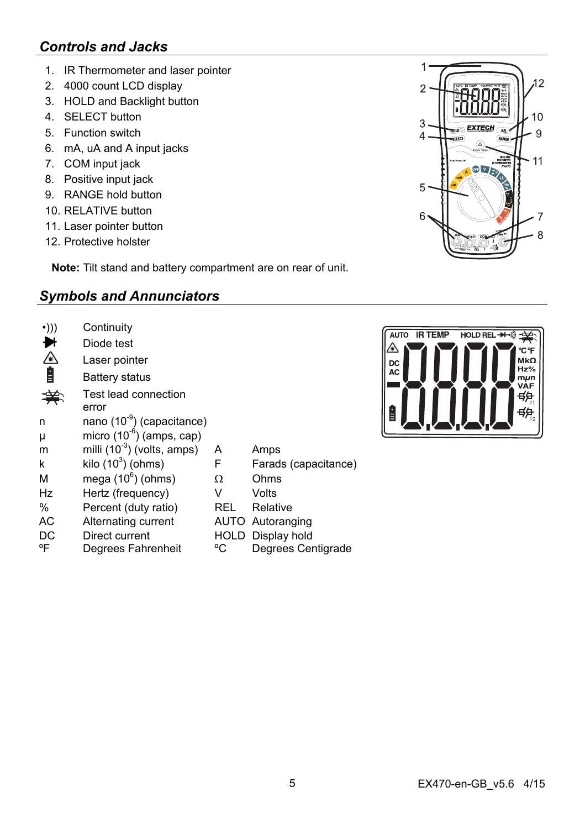# *Controls and Jacks*

- 1. IR Thermometer and laser pointer
- 2. 4000 count LCD display
- 3. HOLD and Backlight button
- 4. SELECT button
- 5. Function switch
- 6. mA, uA and A input jacks
- 7. COM input jack
- 8. Positive input jack
- 9. RANGE hold button
- 10. RELATIVE button
- 11. Laser pointer button
- 12. Protective holster

**Note:** Tilt stand and battery compartment are on rear of unit.

# *Symbols and Annunciators*

| $\cdot$ ))) | Continuity                             |      |                      |
|-------------|----------------------------------------|------|----------------------|
|             | Diode test                             |      |                      |
| ́           | Laser pointer                          |      |                      |
| Ê           | Battery status                         |      |                      |
|             | Test lead connection                   |      |                      |
|             | error                                  |      |                      |
| n           | nano (10 <sup>-9</sup> ) (capacitance) |      |                      |
| μ           | micro $(10^{-6})$ (amps, cap)          |      |                      |
| m           | milli $(10^{-3})$ (volts, amps)        | A    | Amps                 |
| k           | kilo $(10^3)$ (ohms)                   | F    | Farads (capacitance) |
| M           | mega $(10^6)$ (ohms)                   | Ω    | Ohms                 |
| Hz          | Hertz (frequency)                      | v    | Volts                |
| $\%$        | Percent (duty ratio)                   | REL  | Relative             |
| AC          | Alternating current                    | AUTO | Autoranging          |
| DC          | Direct current                         | HOLD | Display hold         |
| °F          | Degrees Fahrenheit                     | °C   | Degrees Centigrade   |



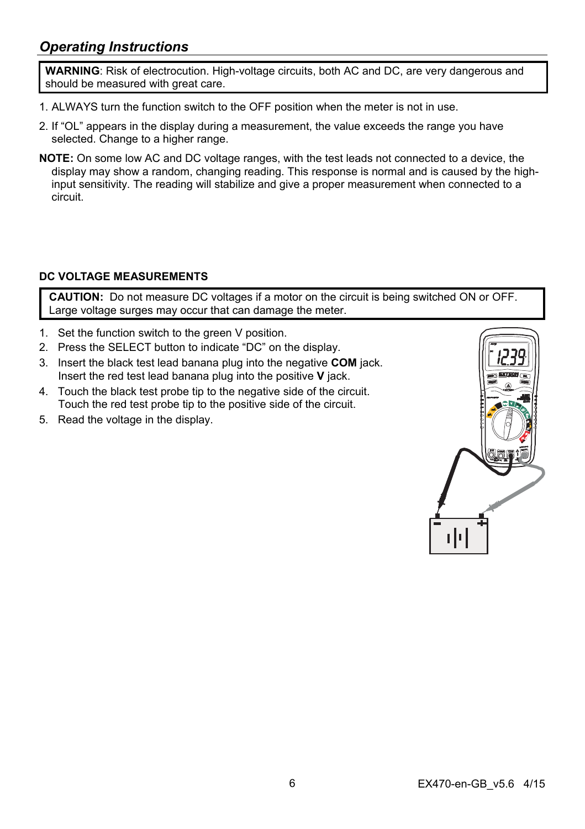# *Operating Instructions*

**WARNING**: Risk of electrocution. High-voltage circuits, both AC and DC, are very dangerous and should be measured with great care.

- 1. ALWAYS turn the function switch to the OFF position when the meter is not in use.
- 2. If "OL" appears in the display during a measurement, the value exceeds the range you have selected. Change to a higher range.
- **NOTE:** On some low AC and DC voltage ranges, with the test leads not connected to a device, the display may show a random, changing reading. This response is normal and is caused by the highinput sensitivity. The reading will stabilize and give a proper measurement when connected to a circuit.

# **DC VOLTAGE MEASUREMENTS**

**CAUTION:** Do not measure DC voltages if a motor on the circuit is being switched ON or OFF. Large voltage surges may occur that can damage the meter.

- 1. Set the function switch to the green V position.
- 2. Press the SELECT button to indicate "DC" on the display.
- 3. Insert the black test lead banana plug into the negative **COM** jack. Insert the red test lead banana plug into the positive **V** jack.
- 4. Touch the black test probe tip to the negative side of the circuit. Touch the red test probe tip to the positive side of the circuit.
- 5. Read the voltage in the display.

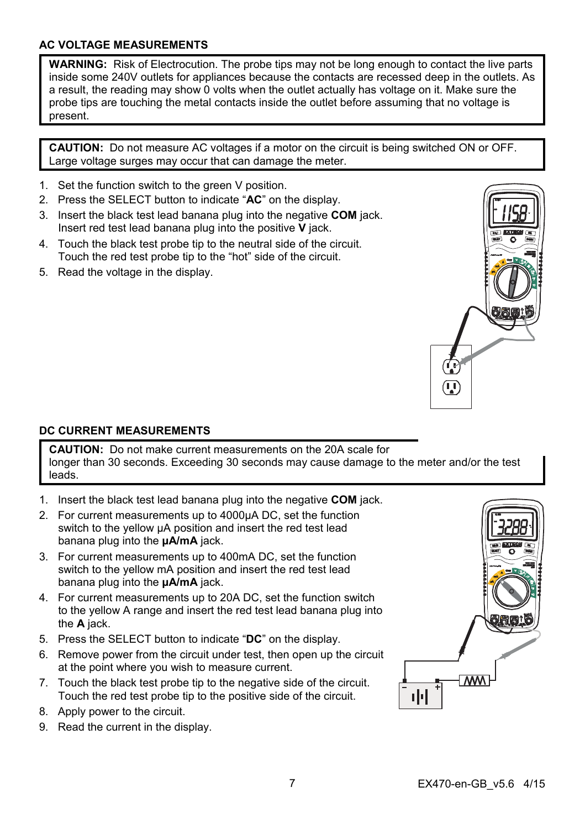### **AC VOLTAGE MEASUREMENTS**

**WARNING:** Risk of Electrocution. The probe tips may not be long enough to contact the live parts inside some 240V outlets for appliances because the contacts are recessed deep in the outlets. As a result, the reading may show 0 volts when the outlet actually has voltage on it. Make sure the probe tips are touching the metal contacts inside the outlet before assuming that no voltage is present.

**CAUTION:** Do not measure AC voltages if a motor on the circuit is being switched ON or OFF. Large voltage surges may occur that can damage the meter.

- 1. Set the function switch to the green V position.
- 2. Press the SELECT button to indicate "**AC**" on the display.
- 3. Insert the black test lead banana plug into the negative **COM** jack. Insert red test lead banana plug into the positive **V** jack.
- 4. Touch the black test probe tip to the neutral side of the circuit. Touch the red test probe tip to the "hot" side of the circuit.
- 5. Read the voltage in the display.



## **DC CURRENT MEASUREMENTS**

**CAUTION:** Do not make current measurements on the 20A scale for longer than 30 seconds. Exceeding 30 seconds may cause damage to the meter and/or the test leads.

- 1. Insert the black test lead banana plug into the negative **COM** jack.
- 2. For current measurements up to 4000µA DC, set the function switch to the yellow µA position and insert the red test lead banana plug into the **µA/mA** jack.
- 3. For current measurements up to 400mA DC, set the function switch to the yellow mA position and insert the red test lead banana plug into the **µA/mA** jack.
- 4. For current measurements up to 20A DC, set the function switch to the yellow A range and insert the red test lead banana plug into the **A** jack.
- 5. Press the SELECT button to indicate "**DC**" on the display.
- 6. Remove power from the circuit under test, then open up the circuit at the point where you wish to measure current.
- 7. Touch the black test probe tip to the negative side of the circuit. Touch the red test probe tip to the positive side of the circuit.
- 8. Apply power to the circuit.
- 9. Read the current in the display.

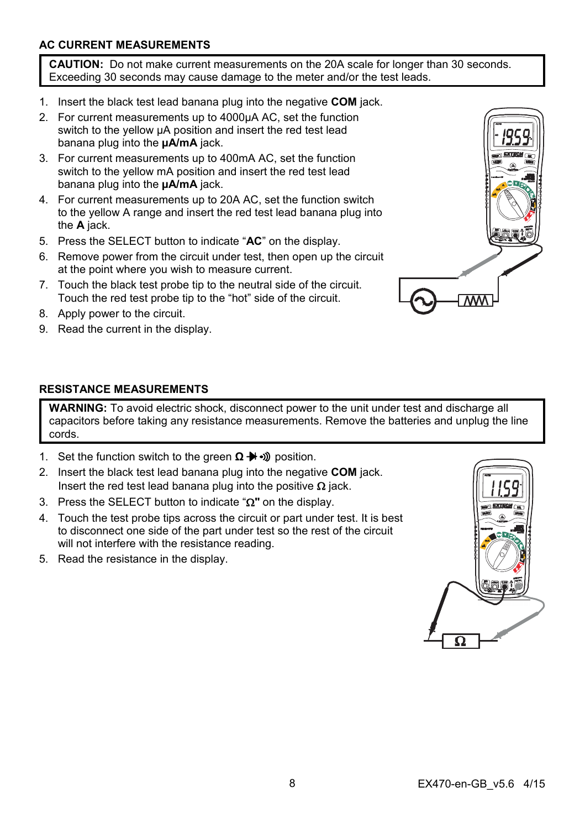# **AC CURRENT MEASUREMENTS**

**CAUTION:** Do not make current measurements on the 20A scale for longer than 30 seconds. Exceeding 30 seconds may cause damage to the meter and/or the test leads.

- 1. Insert the black test lead banana plug into the negative **COM** jack.
- 2. For current measurements up to 4000µA AC, set the function switch to the yellow µA position and insert the red test lead banana plug into the **µA/mA** jack.
- 3. For current measurements up to 400mA AC, set the function switch to the yellow mA position and insert the red test lead banana plug into the **µA/mA** jack.
- 4. For current measurements up to 20A AC, set the function switch to the yellow A range and insert the red test lead banana plug into the **A** jack.
- 5. Press the SELECT button to indicate "**AC**" on the display.
- 6. Remove power from the circuit under test, then open up the circuit at the point where you wish to measure current.
- 7. Touch the black test probe tip to the neutral side of the circuit. Touch the red test probe tip to the "hot" side of the circuit.
- 8. Apply power to the circuit.
- 9. Read the current in the display.



### **RESISTANCE MEASUREMENTS**

**WARNING:** To avoid electric shock, disconnect power to the unit under test and discharge all capacitors before taking any resistance measurements. Remove the batteries and unplug the line cords.

- 1. Set the function switch to the green **Ω → D** position.
- 2. Insert the black test lead banana plug into the negative **COM** jack. Insert the red test lead banana plug into the positive  $\Omega$  jack.
- 3. Press the SELECT button to indicate " $\Omega$ " on the display.
- 4. Touch the test probe tips across the circuit or part under test. It is best to disconnect one side of the part under test so the rest of the circuit will not interfere with the resistance reading.
- 5. Read the resistance in the display.

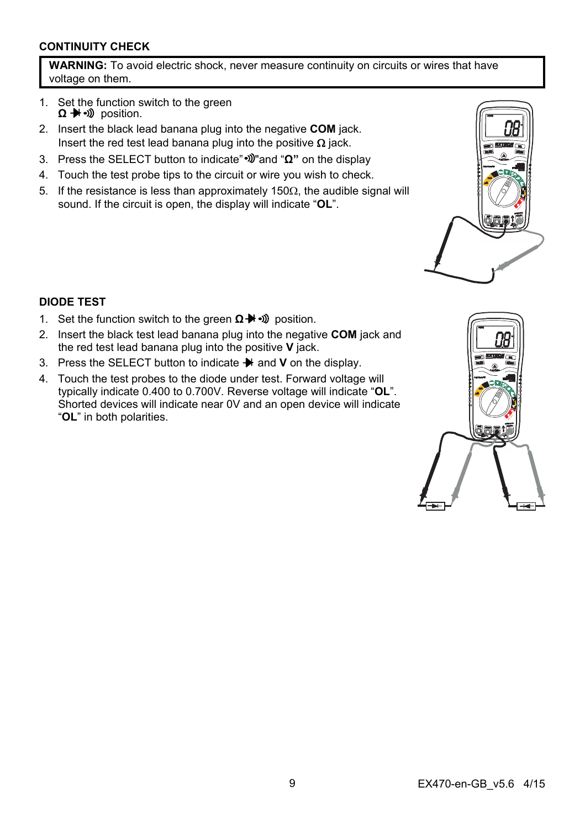## **CONTINUITY CHECK**

**WARNING:** To avoid electric shock, never measure continuity on circuits or wires that have voltage on them.

- 1. Set the function switch to the green **Ω** → <sup>1</sup> → 1) position.
- 2. Insert the black lead banana plug into the negative **COM** jack. Insert the red test lead banana plug into the positive  $\Omega$  jack.
- 3. Press the SELECT button to indicate" "and "**Ω"** on the display
- 4. Touch the test probe tips to the circuit or wire you wish to check.
- 5. If the resistance is less than approximately 150 $\Omega$ , the audible signal will sound. If the circuit is open, the display will indicate "**OL**".



#### **DIODE TEST**

- 1. Set the function switch to the green **Ω →** <sup>p</sup> position.
- 2. Insert the black test lead banana plug into the negative **COM** jack and the red test lead banana plug into the positive **V** jack.
- 3. Press the SELECT button to indicate  $\rightarrow$  and **V** on the display.
- 4. Touch the test probes to the diode under test. Forward voltage will typically indicate 0.400 to 0.700V. Reverse voltage will indicate "**OL**". Shorted devices will indicate near 0V and an open device will indicate "**OL**" in both polarities.

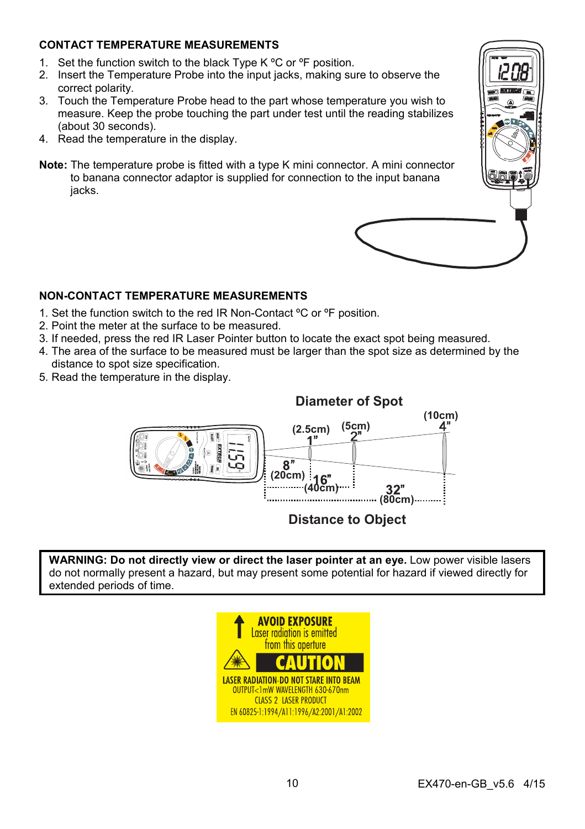# **CONTACT TEMPERATURE MEASUREMENTS**

- 1. Set the function switch to the black Type K °C or °F position.
- 2. Insert the Temperature Probe into the input jacks, making sure to observe the correct polarity.
- 3. Touch the Temperature Probe head to the part whose temperature you wish to measure. Keep the probe touching the part under test until the reading stabilizes (about 30 seconds).
- 4. Read the temperature in the display.
- **Note:** The temperature probe is fitted with a type K mini connector. A mini connector to banana connector adaptor is supplied for connection to the input banana jacks.

#### **NON-CONTACT TEMPERATURE MEASUREMENTS**

- 1. Set the function switch to the red IR Non-Contact ºC or ºF position.
- 2. Point the meter at the surface to be measured.
- 3. If needed, press the red IR Laser Pointer button to locate the exact spot being measured.
- 4. The area of the surface to be measured must be larger than the spot size as determined by the distance to spot size specification.
- 5. Read the temperature in the display.



# **Distance to Object**

**WARNING: Do not directly view or direct the laser pointer at an eye.** Low power visible lasers do not normally present a hazard, but may present some potential for hazard if viewed directly for extended periods of time.

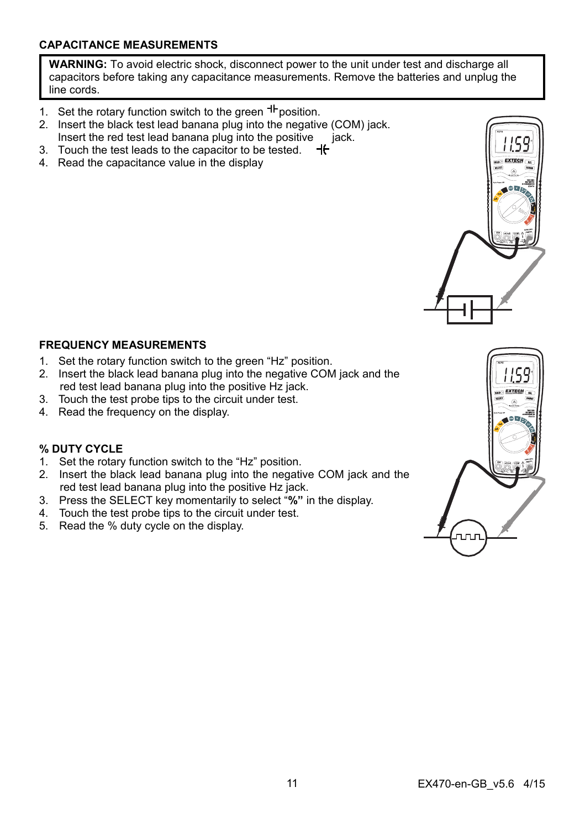## **CAPACITANCE MEASUREMENTS**

**WARNING:** To avoid electric shock, disconnect power to the unit under test and discharge all capacitors before taking any capacitance measurements. Remove the batteries and unplug the line cords.

- 1. Set the rotary function switch to the green  $H$  position.
- 2. Insert the black test lead banana plug into the negative (COM) jack. Insert the red test lead banana plug into the positive  $\overrightarrow{a}$  iack.
- 3. Touch the test leads to the capacitor to be tested.  $-$ H
- 4. Read the capacitance value in the display

# **FREQUENCY MEASUREMENTS**

- 1. Set the rotary function switch to the green "Hz" position.
- 2. Insert the black lead banana plug into the negative COM jack and the red test lead banana plug into the positive Hz jack.
- 3. Touch the test probe tips to the circuit under test.
- 4. Read the frequency on the display.

# **% DUTY CYCLE**

- 1. Set the rotary function switch to the "Hz" position.
- 2. Insert the black lead banana plug into the negative COM jack and the red test lead banana plug into the positive Hz jack.
- 3. Press the SELECT key momentarily to select "**%"** in the display.
- 4. Touch the test probe tips to the circuit under test.
- 5. Read the % duty cycle on the display.

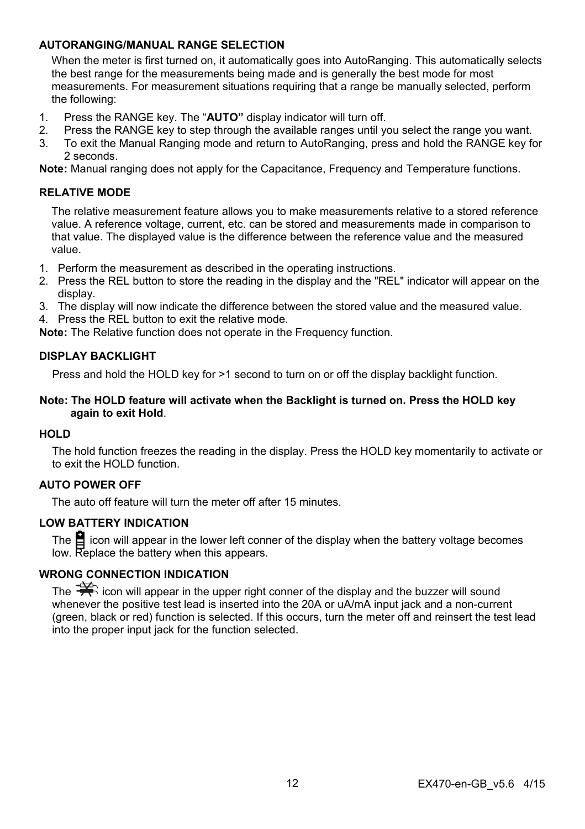### **AUTORANGING/MANUAL RANGE SELECTION**

When the meter is first turned on, it automatically goes into AutoRanging. This automatically selects the best range for the measurements being made and is generally the best mode for most measurements. For measurement situations requiring that a range be manually selected, perform the following:

- 1. Press the RANGE key. The "**AUTO"** display indicator will turn off.
- 2. Press the RANGE key to step through the available ranges until you select the range you want.
- 3. To exit the Manual Ranging mode and return to AutoRanging, press and hold the RANGE key for 2 seconds.

**Note:** Manual ranging does not apply for the Capacitance, Frequency and Temperature functions.

#### **RELATIVE MODE**

The relative measurement feature allows you to make measurements relative to a stored reference value. A reference voltage, current, etc. can be stored and measurements made in comparison to that value. The displayed value is the difference between the reference value and the measured value.

- 1. Perform the measurement as described in the operating instructions.
- 2. Press the REL button to store the reading in the display and the "REL" indicator will appear on the display.
- 3. The display will now indicate the difference between the stored value and the measured value.
- 4. Press the REL button to exit the relative mode.

**Note:** The Relative function does not operate in the Frequency function.

#### **DISPLAY BACKLIGHT**

Press and hold the HOLD key for >1 second to turn on or off the display backlight function.

#### **Note: The HOLD feature will activate when the Backlight is turned on. Press the HOLD key again to exit Hold**.

#### **HOLD**

The hold function freezes the reading in the display. Press the HOLD key momentarily to activate or to exit the HOLD function.

#### **AUTO POWER OFF**

The auto off feature will turn the meter off after 15 minutes.

#### **LOW BATTERY INDICATION**

The  $\blacksquare$  icon will appear in the lower left conner of the display when the battery voltage becomes low. Replace the battery when this appears.

## **WRONG CONNECTION INDICATION**

The  $\mathbb{R}$  icon will appear in the upper right conner of the display and the buzzer will sound whenever the positive test lead is inserted into the 20A or uA/mA input jack and a non-current (green, black or red) function is selected. If this occurs, turn the meter off and reinsert the test lead into the proper input jack for the function selected.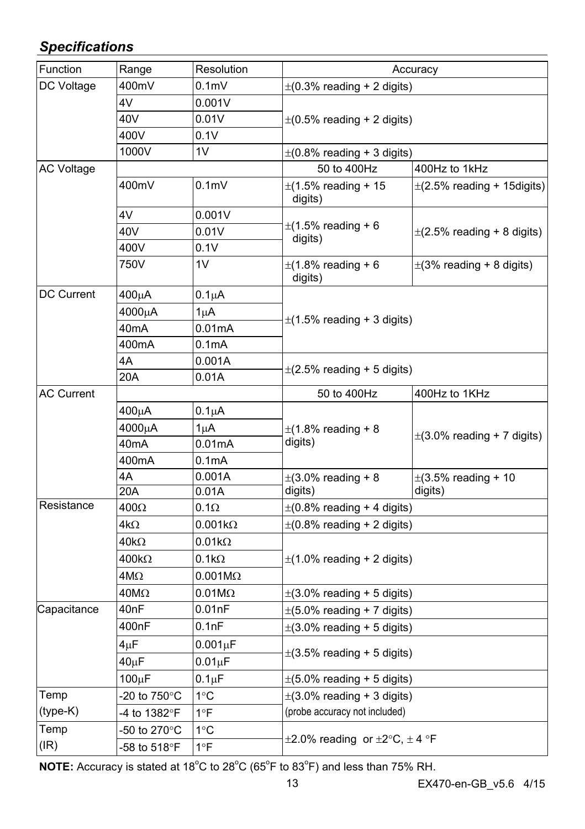# *Specifications*

| Function          | Range              | Resolution          | Accuracy                                                                 |                                     |  |  |
|-------------------|--------------------|---------------------|--------------------------------------------------------------------------|-------------------------------------|--|--|
| DC Voltage        | 400mV              | 0.1 <sub>m</sub>    | $\pm$ (0.3% reading + 2 digits)                                          |                                     |  |  |
|                   | 4V                 | 0.001V              |                                                                          |                                     |  |  |
|                   | 40V                | 0.01V               | $\pm$ (0.5% reading + 2 digits)                                          |                                     |  |  |
|                   | 400V               | 0.1V                |                                                                          |                                     |  |  |
|                   | 1000V              | 1V                  | $\pm$ (0.8% reading + 3 digits)                                          |                                     |  |  |
| <b>AC Voltage</b> |                    |                     | 50 to 400Hz                                                              | 400Hz to 1kHz                       |  |  |
|                   | 400mV              | 0.1 <sub>m</sub>    | $\pm$ (1.5% reading + 15<br>digits)                                      | $\pm$ (2.5% reading + 15 digits)    |  |  |
|                   | 4V                 | 0.001V              |                                                                          |                                     |  |  |
|                   | 40V                | 0.01V               | $\pm$ (1.5% reading + 6<br>digits)                                       | $\pm$ (2.5% reading + 8 digits)     |  |  |
|                   | 400V               | 0.1V                |                                                                          |                                     |  |  |
|                   | 750V               | 1V                  | $\pm$ (1.8% reading + 6<br>digits)                                       | $\pm$ (3% reading + 8 digits)       |  |  |
| DC Current        | 400μA              | $0.1\muA$           |                                                                          |                                     |  |  |
|                   | 4000μA             | $1\mu$ A            |                                                                          |                                     |  |  |
|                   | 40mA               | 0.01mA              | $\pm$ (1.5% reading + 3 digits)                                          |                                     |  |  |
|                   | 400mA              | 0.1 <sub>m</sub> A  |                                                                          |                                     |  |  |
|                   | 4A                 | 0.001A              |                                                                          |                                     |  |  |
|                   | 20A                | 0.01A               | $\pm$ (2.5% reading + 5 digits)                                          |                                     |  |  |
| <b>AC Current</b> |                    |                     | 50 to 400Hz                                                              | 400Hz to 1KHz                       |  |  |
|                   | 400μΑ              | $0.1\mu A$          |                                                                          |                                     |  |  |
|                   | 4000μA             | 1uA                 | $\pm$ (1.8% reading + 8                                                  | $\pm$ (3.0% reading + 7 digits)     |  |  |
|                   | 40 <sub>m</sub> A  | 0.01 <sub>m</sub> A | digits)                                                                  |                                     |  |  |
|                   | 400mA              | 0.1 <sub>m</sub> A  |                                                                          |                                     |  |  |
|                   | 4A                 | 0.001A              | $\pm$ (3.0% reading + 8                                                  | $\pm$ (3.5% reading + 10<br>digits) |  |  |
|                   | 20A                | 0.01A               | digits)                                                                  |                                     |  |  |
| Resistance        | $400\Omega$        | 0.1 $\Omega$        | $\pm$ (0.8% reading + 4 digits)                                          |                                     |  |  |
|                   | 4kΩ                | $0.001k\Omega$      | $\pm$ (0.8% reading + 2 digits)                                          |                                     |  |  |
|                   | $40k\Omega$        | $0.01k\Omega$       |                                                                          |                                     |  |  |
|                   | $400k\Omega$       | $0.1k\Omega$        | $\pm$ (1.0% reading + 2 digits)                                          |                                     |  |  |
|                   | $4M\Omega$         | $0.001M\Omega$      |                                                                          |                                     |  |  |
|                   | $40M\Omega$        | $0.01M\Omega$       | $\pm$ (3.0% reading + 5 digits)                                          |                                     |  |  |
| Capacitance       | 40nF               | 0.01nF              |                                                                          | $\pm$ (5.0% reading + 7 digits)     |  |  |
|                   | 400nF              | 0.1nF               | $\pm$ (3.0% reading + 5 digits)                                          |                                     |  |  |
|                   | 4uF                | $0.001 \mu F$       |                                                                          |                                     |  |  |
|                   | $40\mu F$          | $0.01 \mu F$        | $\pm$ (3.5% reading + 5 digits)                                          |                                     |  |  |
|                   | 100 <sub>u</sub> F | $0.1 \mu F$         | $\pm$ (5.0% reading + 5 digits)                                          |                                     |  |  |
| Temp              | -20 to 750°C       | 1°C                 |                                                                          | $\pm$ (3.0% reading + 3 digits)     |  |  |
| (type-K)          | -4 to 1382°F       | 1°F                 | (probe accuracy not included)                                            |                                     |  |  |
| Temp              | -50 to 270°C       | 1°C                 | $\pm 2.0\%$ reading or $\pm 2^{\circ}\text{C}$ , $\pm 4^{\circ}\text{F}$ |                                     |  |  |
| (IR)              | -58 to 518°F       | 1°F                 |                                                                          |                                     |  |  |

NOTE: Accuracy is stated at 18<sup>°</sup>C to 28<sup>°</sup>C (65<sup>°</sup>F to 83<sup>°</sup>F) and less than 75% RH.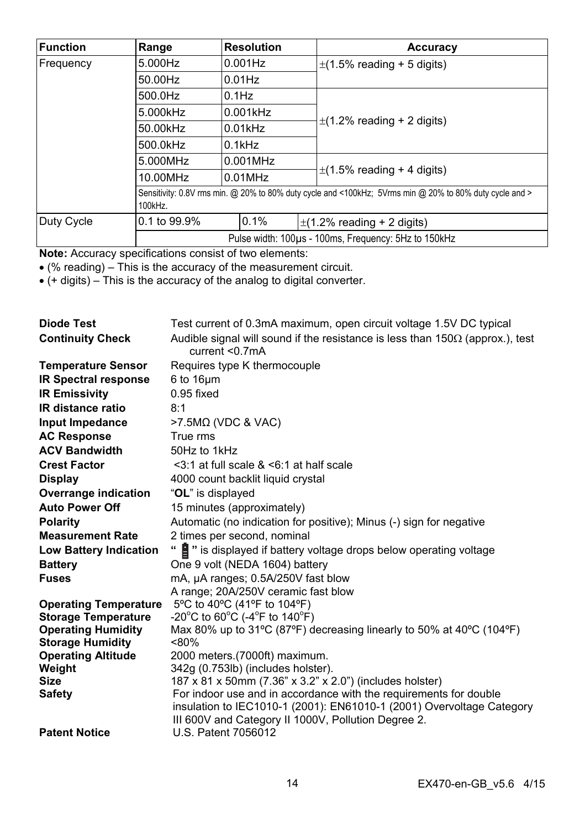| <b>Function</b>      | Range                                                                                                              | <b>Resolution</b>                                    |  | Accuracy                        |  |
|----------------------|--------------------------------------------------------------------------------------------------------------------|------------------------------------------------------|--|---------------------------------|--|
| 5.000Hz<br>Frequency |                                                                                                                    | $0.001$ Hz                                           |  | $\pm$ (1.5% reading + 5 digits) |  |
|                      | 50.00Hz                                                                                                            | $0.01$ Hz                                            |  |                                 |  |
|                      | 500.0Hz                                                                                                            | $0.1$ Hz                                             |  |                                 |  |
|                      | 5.000kHz                                                                                                           | 0.001kHz                                             |  | $\pm$ (1.2% reading + 2 digits) |  |
|                      | 50.00kHz                                                                                                           | $0.01$ kHz                                           |  |                                 |  |
|                      | 500.0kHz<br>$0.1$ kHz                                                                                              |                                                      |  |                                 |  |
|                      | 5.000MHz                                                                                                           | 0.001MHz                                             |  |                                 |  |
|                      | 10.00MHz                                                                                                           | $0.01$ MHz                                           |  | $\pm$ (1.5% reading + 4 digits) |  |
|                      | Sensitivity: 0.8V rms min. @ 20% to 80% duty cycle and <100kHz; 5Vrms min @ 20% to 80% duty cycle and ><br>100kHz. |                                                      |  |                                 |  |
| Duty Cycle           | 0.1 to 99.9%                                                                                                       | 0.1%                                                 |  | $\pm$ (1.2% reading + 2 digits) |  |
|                      |                                                                                                                    | Pulse width: 100ps - 100ms, Frequency: 5Hz to 150kHz |  |                                 |  |

**Note:** Accuracy specifications consist of two elements:

(% reading) – This is the accuracy of the measurement circuit.

 $\bullet$  (+ digits) – This is the accuracy of the analog to digital converter.

| <b>Diode Test</b>             | Test current of 0.3mA maximum, open circuit voltage 1.5V DC typical                                                           |
|-------------------------------|-------------------------------------------------------------------------------------------------------------------------------|
| <b>Continuity Check</b>       | Audible signal will sound if the resistance is less than $150\Omega$ (approx.), test<br>current < 0.7mA                       |
| <b>Temperature Sensor</b>     | Requires type K thermocouple                                                                                                  |
| <b>IR Spectral response</b>   | $6$ to $16 \mu m$                                                                                                             |
| <b>IR Emissivity</b>          | $0.95$ fixed                                                                                                                  |
| <b>IR distance ratio</b>      | 8:1                                                                                                                           |
| Input Impedance               | $>7.5M\Omega$ (VDC & VAC)                                                                                                     |
| <b>AC Response</b>            | True rms                                                                                                                      |
| <b>ACV Bandwidth</b>          | 50Hz to 1kHz                                                                                                                  |
| <b>Crest Factor</b>           | $\leq$ 3:1 at full scale & $\leq$ 6:1 at half scale                                                                           |
| <b>Display</b>                | 4000 count backlit liquid crystal                                                                                             |
| Overrange indication          | "OL" is displayed                                                                                                             |
| <b>Auto Power Off</b>         | 15 minutes (approximately)                                                                                                    |
| Polarity                      | Automatic (no indication for positive); Minus (-) sign for negative                                                           |
| <b>Measurement Rate</b>       | 2 times per second, nominal                                                                                                   |
| <b>Low Battery Indication</b> | " is displayed if battery voltage drops below operating voltage                                                               |
| <b>Battery</b>                | One 9 volt (NEDA 1604) battery                                                                                                |
| <b>Fuses</b>                  | mA, µA ranges; 0.5A/250V fast blow                                                                                            |
|                               | A range: 20A/250V ceramic fast blow                                                                                           |
| <b>Operating Temperature</b>  | 5°C to 40°C (41°F to 104°F)                                                                                                   |
| <b>Storage Temperature</b>    | -20°C to 60°C (-4°F to 140°F)                                                                                                 |
| <b>Operating Humidity</b>     | Max 80% up to 31°C (87°F) decreasing linearly to 50% at 40°C (104°F)                                                          |
| <b>Storage Humidity</b>       | $< 80\%$                                                                                                                      |
| <b>Operating Altitude</b>     | 2000 meters (7000ft) maximum.                                                                                                 |
| Weight<br><b>Size</b>         | 342g (0.753lb) (includes holster).                                                                                            |
| <b>Safety</b>                 | 187 x 81 x 50mm (7.36" x 3.2" x 2.0") (includes holster)<br>For indoor use and in accordance with the requirements for double |
|                               | insulation to IEC1010-1 (2001): EN61010-1 (2001) Overvoltage Category                                                         |
|                               | III 600V and Category II 1000V, Pollution Degree 2.                                                                           |
| <b>Patent Notice</b>          | U.S. Patent 7056012                                                                                                           |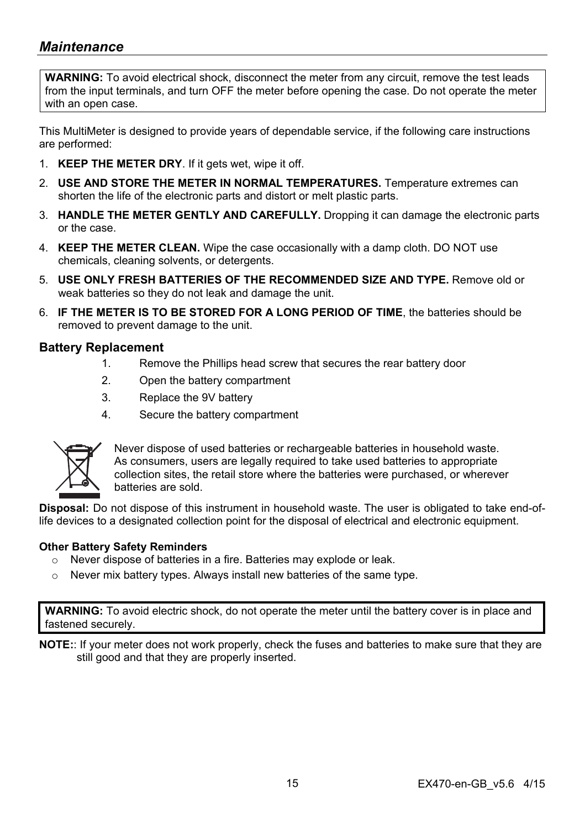# *Maintenance*

**WARNING:** To avoid electrical shock, disconnect the meter from any circuit, remove the test leads from the input terminals, and turn OFF the meter before opening the case. Do not operate the meter with an open case.

This MultiMeter is designed to provide years of dependable service, if the following care instructions are performed:

- 1. **KEEP THE METER DRY**. If it gets wet, wipe it off.
- 2. **USE AND STORE THE METER IN NORMAL TEMPERATURES.** Temperature extremes can shorten the life of the electronic parts and distort or melt plastic parts.
- 3. **HANDLE THE METER GENTLY AND CAREFULLY.** Dropping it can damage the electronic parts or the case.
- 4. **KEEP THE METER CLEAN.** Wipe the case occasionally with a damp cloth. DO NOT use chemicals, cleaning solvents, or detergents.
- 5. **USE ONLY FRESH BATTERIES OF THE RECOMMENDED SIZE AND TYPE.** Remove old or weak batteries so they do not leak and damage the unit.
- 6. **IF THE METER IS TO BE STORED FOR A LONG PERIOD OF TIME**, the batteries should be removed to prevent damage to the unit.

#### **Battery Replacement**

- 1. Remove the Phillips head screw that secures the rear battery door
- 2. Open the battery compartment
- 3. Replace the 9V battery
- 4. Secure the battery compartment



Never dispose of used batteries or rechargeable batteries in household waste. As consumers, users are legally required to take used batteries to appropriate collection sites, the retail store where the batteries were purchased, or wherever batteries are sold.

**Disposal:** Do not dispose of this instrument in household waste. The user is obligated to take end-oflife devices to a designated collection point for the disposal of electrical and electronic equipment.

#### **Other Battery Safety Reminders**

- o Never dispose of batteries in a fire. Batteries may explode or leak.
- o Never mix battery types. Always install new batteries of the same type.

**WARNING:** To avoid electric shock, do not operate the meter until the battery cover is in place and fastened securely.

**NOTE:**: If your meter does not work properly, check the fuses and batteries to make sure that they are still good and that they are properly inserted.